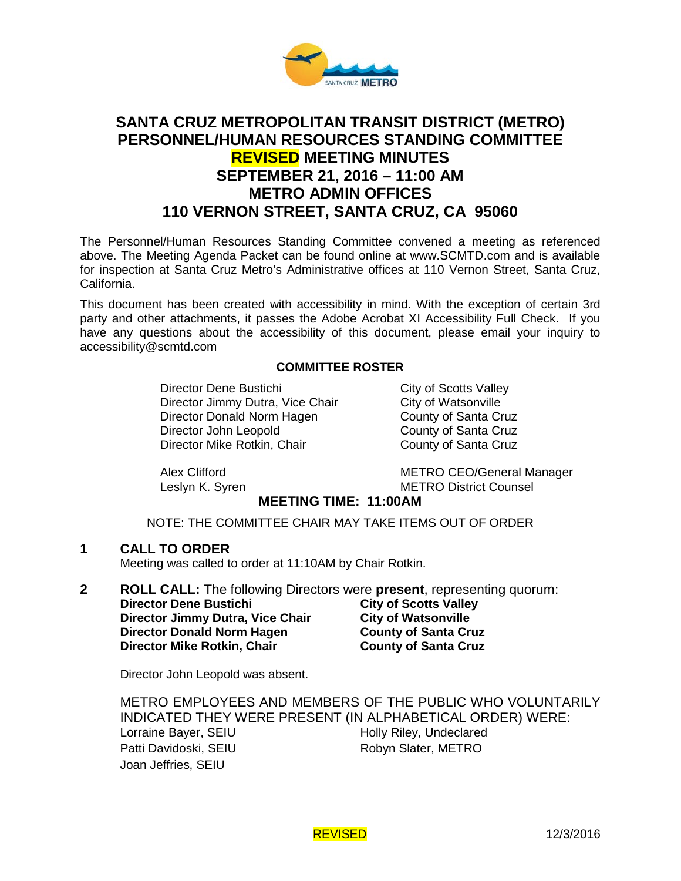

# **SANTA CRUZ METROPOLITAN TRANSIT DISTRICT (METRO) PERSONNEL/HUMAN RESOURCES STANDING COMMITTEE REVISED MEETING MINUTES SEPTEMBER 21, 2016 – 11:00 AM METRO ADMIN OFFICES 110 VERNON STREET, SANTA CRUZ, CA 95060**

The Personnel/Human Resources Standing Committee convened a meeting as referenced above. The Meeting Agenda Packet can be found online at www.SCMTD.com and is available for inspection at Santa Cruz Metro's Administrative offices at 110 Vernon Street, Santa Cruz, California.

This document has been created with accessibility in mind. With the exception of certain 3rd party and other attachments, it passes the Adobe Acrobat XI Accessibility Full Check. If you have any questions about the accessibility of this document, please email your inquiry to [accessibility@scmtd.com](mailto:accessibility@scmtd.com)

## **COMMITTEE ROSTER**

Director Dene Bustichi<br>
Director Jimmy Dutra, Vice Chair<br>
City of Watsonville Director Jimmy Dutra, Vice Chair City of Watsonville<br>Director Donald Norm Hagen County of Santa Cruz Director Donald Norm Hagen Director John Leopold County of Santa Cruz Director Mike Rotkin, Chair County of Santa Cruz

Alex Clifford METRO CEO/General Manager Leslyn K. Syren METRO District Counsel

## **MEETING TIME: 11:00AM**

NOTE: THE COMMITTEE CHAIR MAY TAKE ITEMS OUT OF ORDER

**1 CALL TO ORDER**

Meeting was called to order at 11:10AM by Chair Rotkin.

**2 ROLL CALL:** The following Directors were **present**, representing quorum:

**Director Dene Bustichi**<br>
Director Jimmy Dutra, Vice Chair City of Watsonville<br>
City of Watsonville **Director Jimmy Dutra, Vice Chair City of Watsonville Director Donald Norm Hagen County of Santa Cruz Director Donald Norm Hagen Director Mike Rotkin, Chair County of Santa Cruz** 

Director John Leopold was absent.

METRO EMPLOYEES AND MEMBERS OF THE PUBLIC WHO VOLUNTARILY INDICATED THEY WERE PRESENT (IN ALPHABETICAL ORDER) WERE: Lorraine Bayer, SEIU Holly Riley, Undeclared Patti Davidoski, SEIU Robyn Slater, METRO Joan Jeffries, SEIU

REVISED 12/3/2016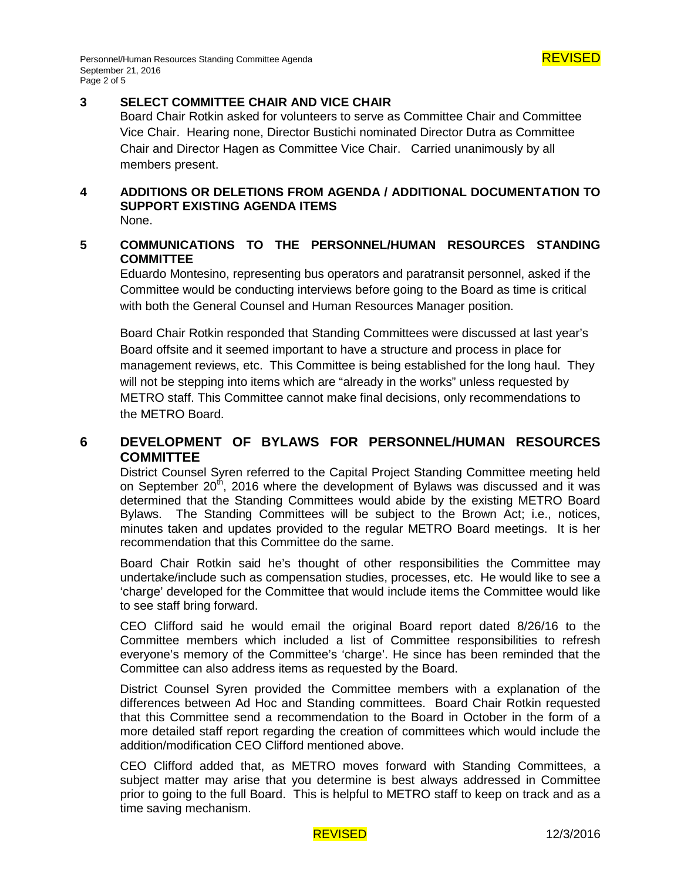

## **3 SELECT COMMITTEE CHAIR AND VICE CHAIR**

Board Chair Rotkin asked for volunteers to serve as Committee Chair and Committee Vice Chair. Hearing none, Director Bustichi nominated Director Dutra as Committee Chair and Director Hagen as Committee Vice Chair. Carried unanimously by all members present.

# **4 ADDITIONS OR DELETIONS FROM AGENDA / ADDITIONAL DOCUMENTATION TO SUPPORT EXISTING AGENDA ITEMS**

None.

# **5 COMMUNICATIONS TO THE PERSONNEL/HUMAN RESOURCES STANDING COMMITTEE**

Eduardo Montesino, representing bus operators and paratransit personnel, asked if the Committee would be conducting interviews before going to the Board as time is critical with both the General Counsel and Human Resources Manager position.

Board Chair Rotkin responded that Standing Committees were discussed at last year's Board offsite and it seemed important to have a structure and process in place for management reviews, etc. This Committee is being established for the long haul. They will not be stepping into items which are "already in the works" unless requested by METRO staff. This Committee cannot make final decisions, only recommendations to the METRO Board.

# **6 DEVELOPMENT OF BYLAWS FOR PERSONNEL/HUMAN RESOURCES COMMITTEE**

District Counsel Syren referred to the Capital Project Standing Committee meeting held on September  $20<sup>th</sup>$ , 2016 where the development of Bylaws was discussed and it was determined that the Standing Committees would abide by the existing METRO Board Bylaws. The Standing Committees will be subject to the Brown Act; i.e., notices, minutes taken and updates provided to the regular METRO Board meetings. It is her recommendation that this Committee do the same.

Board Chair Rotkin said he's thought of other responsibilities the Committee may undertake/include such as compensation studies, processes, etc. He would like to see a 'charge' developed for the Committee that would include items the Committee would like to see staff bring forward.

CEO Clifford said he would email the original Board report dated 8/26/16 to the Committee members which included a list of Committee responsibilities to refresh everyone's memory of the Committee's 'charge'. He since has been reminded that the Committee can also address items as requested by the Board.

District Counsel Syren provided the Committee members with a explanation of the differences between Ad Hoc and Standing committees. Board Chair Rotkin requested that this Committee send a recommendation to the Board in October in the form of a more detailed staff report regarding the creation of committees which would include the addition/modification CEO Clifford mentioned above.

CEO Clifford added that, as METRO moves forward with Standing Committees, a subject matter may arise that you determine is best always addressed in Committee prior to going to the full Board. This is helpful to METRO staff to keep on track and as a time saving mechanism.

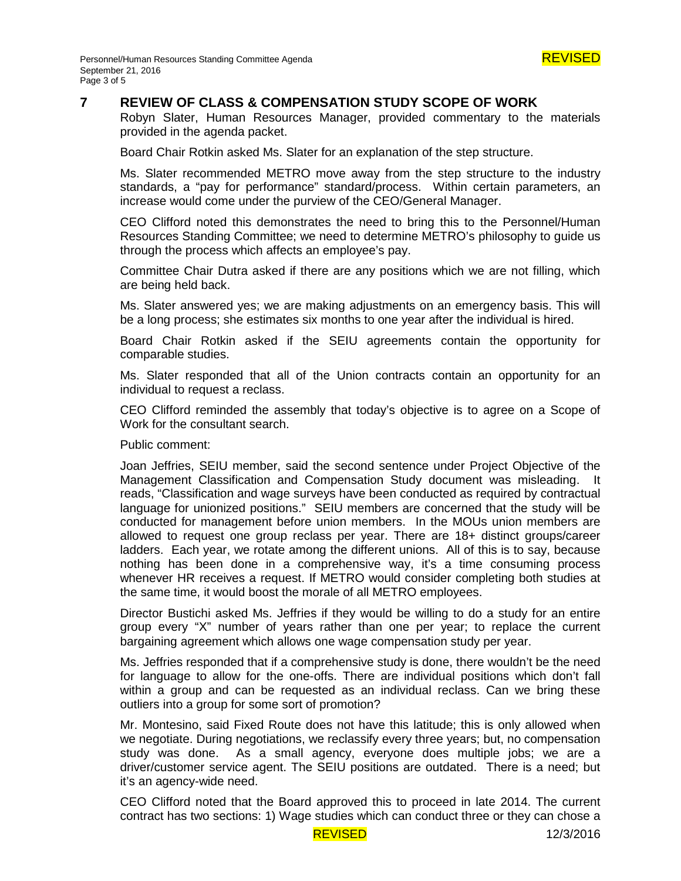

## **7 REVIEW OF CLASS & COMPENSATION STUDY SCOPE OF WORK**

Robyn Slater, Human Resources Manager, provided commentary to the materials provided in the agenda packet.

Board Chair Rotkin asked Ms. Slater for an explanation of the step structure.

Ms. Slater recommended METRO move away from the step structure to the industry standards, a "pay for performance" standard/process. Within certain parameters, an increase would come under the purview of the CEO/General Manager.

CEO Clifford noted this demonstrates the need to bring this to the Personnel/Human Resources Standing Committee; we need to determine METRO's philosophy to guide us through the process which affects an employee's pay.

Committee Chair Dutra asked if there are any positions which we are not filling, which are being held back.

Ms. Slater answered yes; we are making adjustments on an emergency basis. This will be a long process; she estimates six months to one year after the individual is hired.

Board Chair Rotkin asked if the SEIU agreements contain the opportunity for comparable studies.

Ms. Slater responded that all of the Union contracts contain an opportunity for an individual to request a reclass.

CEO Clifford reminded the assembly that today's objective is to agree on a Scope of Work for the consultant search.

Public comment:

Joan Jeffries, SEIU member, said the second sentence under Project Objective of the Management Classification and Compensation Study document was misleading. It reads, "Classification and wage surveys have been conducted as required by contractual language for unionized positions." SEIU members are concerned that the study will be conducted for management before union members. In the MOUs union members are allowed to request one group reclass per year. There are 18+ distinct groups/career ladders. Each year, we rotate among the different unions. All of this is to say, because nothing has been done in a comprehensive way, it's a time consuming process whenever HR receives a request. If METRO would consider completing both studies at the same time, it would boost the morale of all METRO employees.

Director Bustichi asked Ms. Jeffries if they would be willing to do a study for an entire group every "X" number of years rather than one per year; to replace the current bargaining agreement which allows one wage compensation study per year.

Ms. Jeffries responded that if a comprehensive study is done, there wouldn't be the need for language to allow for the one-offs. There are individual positions which don't fall within a group and can be requested as an individual reclass. Can we bring these outliers into a group for some sort of promotion?

Mr. Montesino, said Fixed Route does not have this latitude; this is only allowed when we negotiate. During negotiations, we reclassify every three years; but, no compensation study was done. As a small agency, everyone does multiple jobs; we are a driver/customer service agent. The SEIU positions are outdated. There is a need; but it's an agency-wide need.

CEO Clifford noted that the Board approved this to proceed in late 2014. The current contract has two sections: 1) Wage studies which can conduct three or they can chose a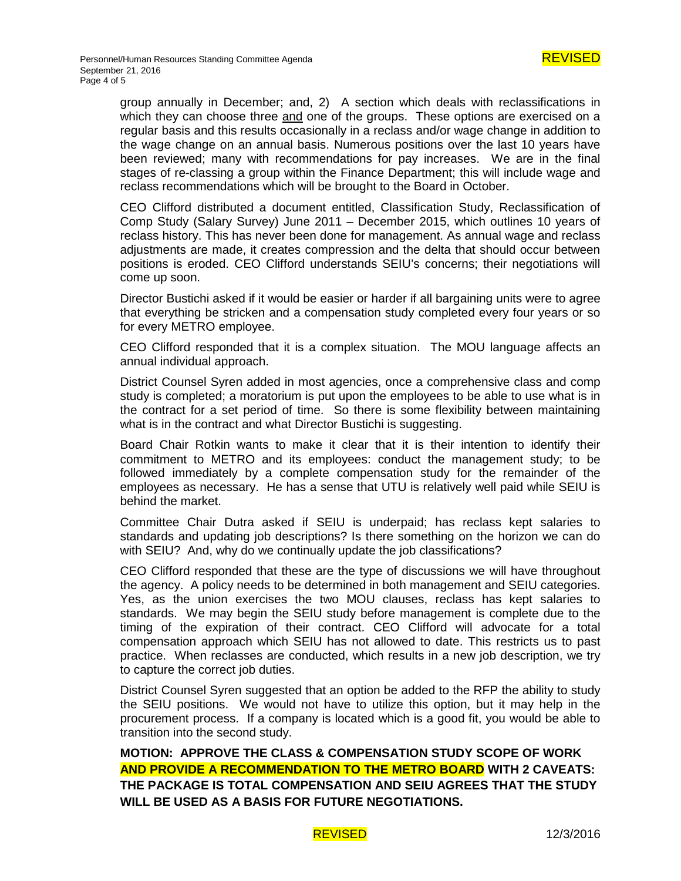group annually in December; and, 2) A section which deals with reclassifications in which they can choose three and one of the groups. These options are exercised on a regular basis and this results occasionally in a reclass and/or wage change in addition to the wage change on an annual basis. Numerous positions over the last 10 years have been reviewed; many with recommendations for pay increases. We are in the final stages of re-classing a group within the Finance Department; this will include wage and reclass recommendations which will be brought to the Board in October.

CEO Clifford distributed a document entitled, Classification Study, Reclassification of Comp Study (Salary Survey) June 2011 – December 2015, which outlines 10 years of reclass history. This has never been done for management. As annual wage and reclass adjustments are made, it creates compression and the delta that should occur between positions is eroded. CEO Clifford understands SEIU's concerns; their negotiations will come up soon.

Director Bustichi asked if it would be easier or harder if all bargaining units were to agree that everything be stricken and a compensation study completed every four years or so for every METRO employee.

CEO Clifford responded that it is a complex situation. The MOU language affects an annual individual approach.

District Counsel Syren added in most agencies, once a comprehensive class and comp study is completed; a moratorium is put upon the employees to be able to use what is in the contract for a set period of time. So there is some flexibility between maintaining what is in the contract and what Director Bustichi is suggesting.

Board Chair Rotkin wants to make it clear that it is their intention to identify their commitment to METRO and its employees: conduct the management study; to be followed immediately by a complete compensation study for the remainder of the employees as necessary. He has a sense that UTU is relatively well paid while SEIU is behind the market.

Committee Chair Dutra asked if SEIU is underpaid; has reclass kept salaries to standards and updating job descriptions? Is there something on the horizon we can do with SEIU? And, why do we continually update the job classifications?

CEO Clifford responded that these are the type of discussions we will have throughout the agency. A policy needs to be determined in both management and SEIU categories. Yes, as the union exercises the two MOU clauses, reclass has kept salaries to standards. We may begin the SEIU study before management is complete due to the timing of the expiration of their contract. CEO Clifford will advocate for a total compensation approach which SEIU has not allowed to date. This restricts us to past practice. When reclasses are conducted, which results in a new job description, we try to capture the correct job duties.

District Counsel Syren suggested that an option be added to the RFP the ability to study the SEIU positions. We would not have to utilize this option, but it may help in the procurement process. If a company is located which is a good fit, you would be able to transition into the second study.

**MOTION: APPROVE THE CLASS & COMPENSATION STUDY SCOPE OF WORK AND PROVIDE A RECOMMENDATION TO THE METRO BOARD WITH 2 CAVEATS: THE PACKAGE IS TOTAL COMPENSATION AND SEIU AGREES THAT THE STUDY WILL BE USED AS A BASIS FOR FUTURE NEGOTIATIONS.**

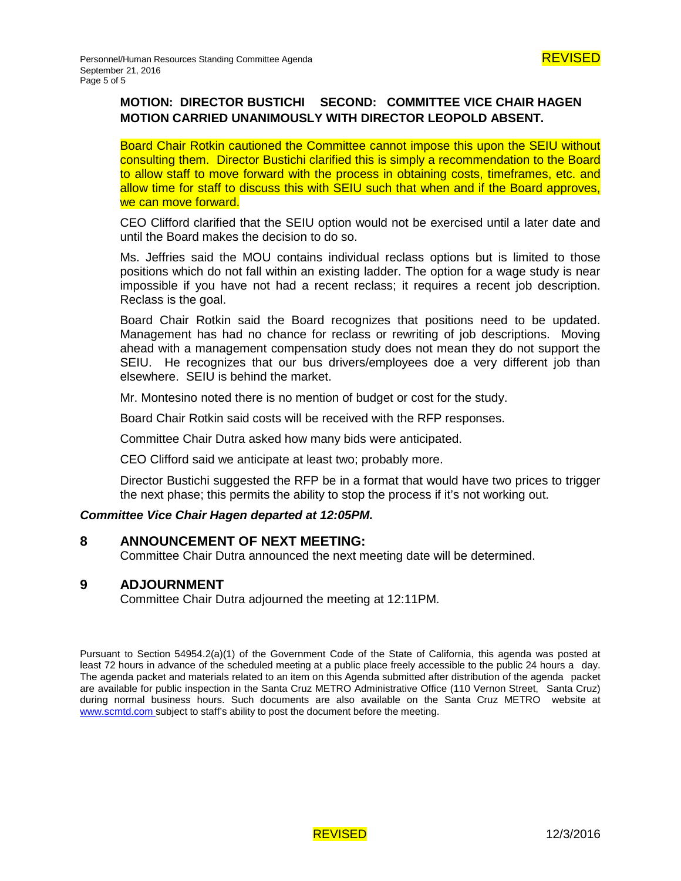# **MOTION: DIRECTOR BUSTICHI SECOND: COMMITTEE VICE CHAIR HAGEN MOTION CARRIED UNANIMOUSLY WITH DIRECTOR LEOPOLD ABSENT.**

Board Chair Rotkin cautioned the Committee cannot impose this upon the SEIU without consulting them. Director Bustichi clarified this is simply a recommendation to the Board to allow staff to move forward with the process in obtaining costs, timeframes, etc. and allow time for staff to discuss this with SEIU such that when and if the Board approves, we can move forward.

CEO Clifford clarified that the SEIU option would not be exercised until a later date and until the Board makes the decision to do so.

Ms. Jeffries said the MOU contains individual reclass options but is limited to those positions which do not fall within an existing ladder. The option for a wage study is near impossible if you have not had a recent reclass; it requires a recent job description. Reclass is the goal.

Board Chair Rotkin said the Board recognizes that positions need to be updated. Management has had no chance for reclass or rewriting of job descriptions. Moving ahead with a management compensation study does not mean they do not support the SEIU. He recognizes that our bus drivers/employees doe a very different job than elsewhere. SEIU is behind the market.

Mr. Montesino noted there is no mention of budget or cost for the study.

Board Chair Rotkin said costs will be received with the RFP responses.

Committee Chair Dutra asked how many bids were anticipated.

CEO Clifford said we anticipate at least two; probably more.

Director Bustichi suggested the RFP be in a format that would have two prices to trigger the next phase; this permits the ability to stop the process if it's not working out.

#### *Committee Vice Chair Hagen departed at 12:05PM.*

#### **8 ANNOUNCEMENT OF NEXT MEETING:**

Committee Chair Dutra announced the next meeting date will be determined.

## **9 ADJOURNMENT**

Committee Chair Dutra adjourned the meeting at 12:11PM.

Pursuant to Section 54954.2(a)(1) of the Government Code of the State of California, this agenda was posted at least 72 hours in advance of the scheduled meeting at a public place freely accessible to the public 24 hours a day. The agenda packet and materials related to an item on this Agenda submitted after distribution of the agenda packet are available for public inspection in the Santa Cruz METRO Administrative Office (110 Vernon Street, Santa Cruz) during normal business hours. Such documents are also available on the Santa Cruz METRO website at [www.scmtd.com](http://www.scmtd.com/) subject to staff's ability to post the document before the meeting.

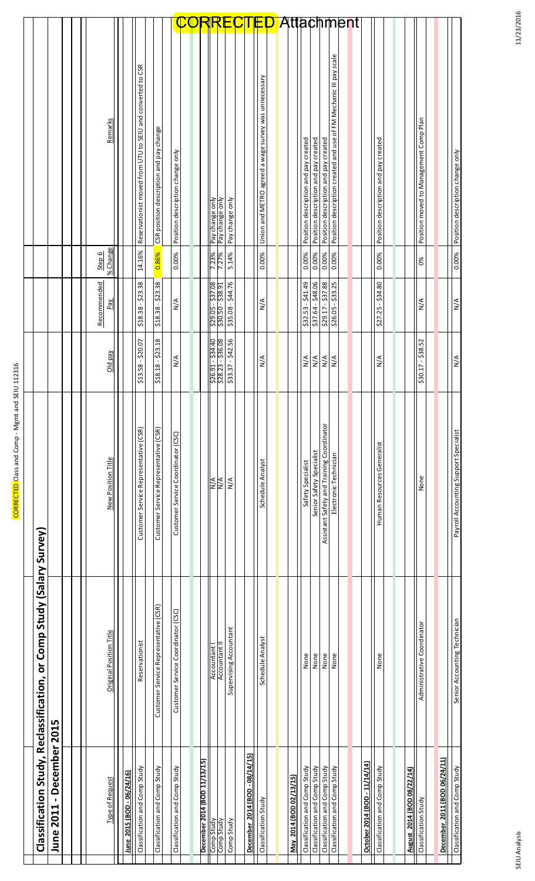|                                                           |                                    |                         |                               |                                                            |                                         |                                    |                              |                                        |                        |                                |                                                      |                              |                                      |                                      |                                           |                                                                   | <b>Attachment</b> |                                    |                                      |                            |                                        |                              |                                       |
|-----------------------------------------------------------|------------------------------------|-------------------------|-------------------------------|------------------------------------------------------------|-----------------------------------------|------------------------------------|------------------------------|----------------------------------------|------------------------|--------------------------------|------------------------------------------------------|------------------------------|--------------------------------------|--------------------------------------|-------------------------------------------|-------------------------------------------------------------------|-------------------|------------------------------------|--------------------------------------|----------------------------|----------------------------------------|------------------------------|---------------------------------------|
|                                                           |                                    | Remarks                 |                               | Reservationist moved from UTU to SEIU and converted to CSR | CSR position description and pay change | Position description change only   |                              | Pay change only<br>Pay change only     | Pay change only        |                                | Union and METRO agreed a wage survey was unnecessary |                              | Position description and pay created | Position description and pay created | Position description and pay created      | Position description created and use of FM Mechanic III pay scale |                   |                                    | Position description and pay created |                            | Position moved to Management Comp Plan |                              | Position description change only      |
|                                                           |                                    | % Change<br>Step 6      |                               | 14.16%                                                     | 0.86%                                   | 0.00%                              |                              | 7.23%<br>7.27%                         | 5.14%                  |                                | 0.00%                                                |                              | 0.00%                                | 0.00%                                | 0.00%                                     | 0.00%                                                             |                   |                                    | 0.00%                                |                            | 0%                                     |                              | 0.00%                                 |
|                                                           |                                    | Recommended<br>Pay      |                               | \$18.38 - \$23.38                                          | $$18.38 - $23.38$                       | $\frac{4}{2}$                      |                              | $$29.05 - $37.08$<br>\$30.50 - \$38.91 | \$35.08 - \$44.76      |                                | $\frac{4}{2}$                                        |                              | $$32.53 - $41.49$                    | \$37.64 - \$48.06                    | $$29.17 - $37.88$                         | $$26.05 - $33.25$                                                 |                   |                                    | \$27.25 - \$34.80                    |                            | $\frac{4}{\sqrt{2}}$                   |                              | N/A                                   |
|                                                           |                                    | Old pay                 |                               | \$13.58 - \$20.07                                          | $$18.18 - $23.18$                       | $\leq$                             |                              | $$26.91 - $34.40$<br>\$28.23 - \$36.08 | $-542.56$<br>\$33.37   |                                | ⋚                                                    |                              | N/A                                  | $\frac{4}{2}$                        | $\frac{4}{2}$                             | $\frac{4}{2}$                                                     |                   |                                    | ⋚                                    |                            | $-538.52$<br>\$30.17                   |                              | N/A                                   |
|                                                           |                                    | New Position Title      |                               | Customer Service Representative (CSR)                      | Customer Service Representative (CSR)   | Customer Service Coordinator (CSC) |                              | $\overline{N}$<br>ИM<br>К              | $\frac{4}{2}$          |                                | Schedule Analyst                                     |                              | Safety Specialist                    | Senior Safety Specialist             | Assistant Safety and Training Coordinator | Electronic Technician                                             |                   |                                    | Human Resources Generalist           |                            | None                                   |                              | Payroll Accounting Support Specialist |
| on Study, Reclassification, or Comp Study (Salary Survey) |                                    | Original Position Title |                               | Reservationist                                             | Customer Service Representative (CSR)   | Customer Service Coordinator (CSC) |                              | Accountant I<br>Accountant I           | Supervising Accountant |                                | Schedule Analyst                                     |                              | None                                 | None                                 | None                                      | None                                                              |                   |                                    | None                                 |                            | Administrative Coordinator             |                              | Senior Accounting Technician          |
| Classificati                                              | -December 2015<br><b>June 2011</b> | Request<br>Type of      | 06/24/16)<br>June 2015 (BOD - | Classification and Comp Study                              | Classification and Comp Study           | Classification and Comp Study      | December 2014 (BOD 11/13/15) | Comp Study<br>Comp Study               | Comp Study             | December 2014 (BOD - 08/14/15) | Classification Study                                 | 2/13/15)<br>May 2014 (BOD 0) | Classification and Comp Study        | Classification and Comp Study        | Classification and Comp Study             | Classification and Comp Study                                     |                   | D - 11/14/14)<br>October 2014 (BOI | Classification and Comp Study        | August 2014 (BOD 08/22/14) | Classification Study                   | December 2011 (BOD 06/24/11) | Classification and Comp Study         |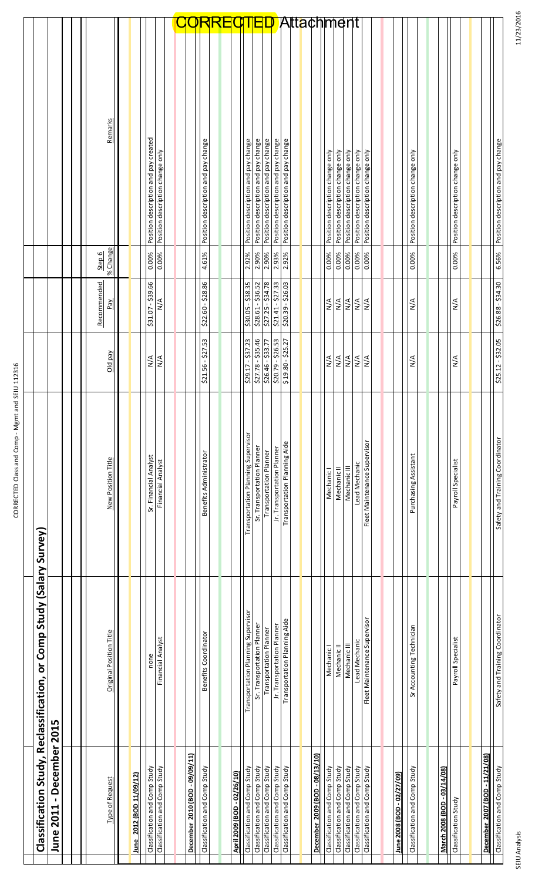| Ì<br>j<br>l<br>j<br>١<br>l<br>l                                                                                                    |
|------------------------------------------------------------------------------------------------------------------------------------|
| i                                                                                                                                  |
|                                                                                                                                    |
|                                                                                                                                    |
|                                                                                                                                    |
|                                                                                                                                    |
|                                                                                                                                    |
|                                                                                                                                    |
|                                                                                                                                    |
|                                                                                                                                    |
|                                                                                                                                    |
|                                                                                                                                    |
|                                                                                                                                    |
|                                                                                                                                    |
|                                                                                                                                    |
|                                                                                                                                    |
|                                                                                                                                    |
|                                                                                                                                    |
|                                                                                                                                    |
|                                                                                                                                    |
|                                                                                                                                    |
|                                                                                                                                    |
|                                                                                                                                    |
|                                                                                                                                    |
|                                                                                                                                    |
|                                                                                                                                    |
|                                                                                                                                    |
|                                                                                                                                    |
|                                                                                                                                    |
|                                                                                                                                    |
|                                                                                                                                    |
|                                                                                                                                    |
|                                                                                                                                    |
|                                                                                                                                    |
|                                                                                                                                    |
|                                                                                                                                    |
| )<br>5<br>5<br>5<br>5<br>5<br>5<br>5<br>5<br>5<br>5<br>5<br>5<br>5<br>5<br>5<br><br>í<br>$\overline{\phantom{a}}$<br>I<br>֡֡֡֡֡֡֡֡ |
| -<br>-<br>-<br>-<br>$\frac{1}{2}$                                                                                                  |

| Í<br>J<br>ī    |
|----------------|
| ׇ֚֡֡           |
|                |
| l<br>I         |
| ֚֘֝            |
|                |
|                |
| D              |
| ı              |
| \$             |
| Ş<br>í<br>֚֘֝  |
|                |
| ۱              |
|                |
| ؟<br>٥         |
| $\overline{a}$ |
| Ï              |
| l<br>i<br>l    |
| ۱              |
| l<br>Ì         |
| í              |
| i<br>l         |
|                |
|                |

| Classificatio                                                  | n Study, Reclassification, or Comp Study (Salary Survey) |                                               |                             |                             |                    |                                                                      |            |
|----------------------------------------------------------------|----------------------------------------------------------|-----------------------------------------------|-----------------------------|-----------------------------|--------------------|----------------------------------------------------------------------|------------|
| December 2015<br>$\blacksquare$<br><b>June 2011</b>            |                                                          |                                               |                             |                             |                    |                                                                      |            |
| <b>Type of Request</b>                                         | Original Position Title                                  | New Position Title                            | Old pay                     | Recommended<br>Pay          | % Change<br>Step 6 | Remarks                                                              |            |
|                                                                |                                                          |                                               |                             |                             |                    |                                                                      |            |
| 109/12<br>2012 (BOD 11<br>June                                 |                                                          |                                               |                             |                             |                    |                                                                      |            |
| Classification and Comp Study                                  | none                                                     | Sr. Financial Analyst                         | N/A                         | \$31.07 - \$39.66           | 0.00%              | Position description and pay created                                 |            |
| Classification and Comp Study                                  | Financial Analyst                                        | Financial Analyst                             | $\sum_{i=1}^{n}$            | $\frac{4}{2}$               | 0.00%              | Position description change only                                     |            |
|                                                                |                                                          |                                               |                             |                             |                    |                                                                      |            |
| December 2010 (BOD - 09/09/11)                                 |                                                          |                                               |                             |                             |                    |                                                                      |            |
| Classification and Comp Study                                  | Benefits Coordinator                                     | Benefits Administrator                        | $$21.56 - $27.53$           | \$22.60 - \$28.86           | 4.61%              | Position description and pay change                                  |            |
|                                                                |                                                          |                                               |                             |                             |                    |                                                                      |            |
| April 2009 (BOD - 02/26/10)                                    |                                                          |                                               |                             |                             |                    |                                                                      |            |
| Classification and Comp Study                                  | Transportation Planning Supervisor                       | Transportation Planning Supervisor            | $$29.17 - $37.23$           | \$30.05 - \$38.35           | 2.92%              | Position description and pay change                                  |            |
| Classification and Comp Study                                  | Sr. Transportation Planner                               | Sr. Transportation Planner                    | $$27.78 - $35.46$           | \$28.61 - \$36.52           | 2.90%              | Position description and pay change                                  |            |
| Classification and Comp Study                                  | Transportation Planner                                   | <b>Transportation Planner</b>                 | \$26.46 - \$33.77           | $$27.25 - $34.78$           | 2.90%              | Position description and pay change                                  |            |
| Classification and Comp Study                                  | Jr. Transportation Planner                               | Jr. Transportation Planner                    | $$20.79 - $26.53$           | $$21.41 - $27.33$           | 2.93%              | Position description and pay change                                  |            |
| Classification and Comp Study                                  | Transportation Planning Aide                             | Transportation Planning Aide                  | $$19.80 - $25.27$           | $$20.39 - $26.03$           | 2.92%              | Position description and pay change                                  |            |
|                                                                |                                                          |                                               |                             |                             |                    |                                                                      |            |
| December 2009 (BOD - 08/13/10)                                 |                                                          |                                               |                             |                             |                    |                                                                      | Attachment |
| Classification and Comp Study                                  | Mechanic I                                               | Mechanic I                                    | $\frac{4}{2}$               | $\frac{4}{2}$               | 0.00%              | Position description change only                                     |            |
| Classification and Comp Study                                  | Mechanic II                                              | Mechanic II                                   | $\frac{4}{2}$               | $\frac{4}{2}$               | 0.00%              | Position description change only                                     |            |
| Classification and Comp Study                                  | Mechanic III                                             | Mechanic III                                  | N/A                         | $\frac{4}{2}$               | 0.00%              | Position description change only                                     |            |
| Classification and Comp Study<br>Classification and Comp Study | Fleet Maintenance Supervisor<br>Lead Mechanic            | Fleet Maintenance Supervisor<br>Lead Mechanic | $\frac{4}{\sqrt{2}}$<br>N/A | $\frac{4}{\sqrt{2}}$<br>N/A | 0.00%<br>0.00%     | Position description change only<br>Position description change only |            |
|                                                                |                                                          |                                               |                             |                             |                    |                                                                      |            |
|                                                                |                                                          |                                               |                             |                             |                    |                                                                      |            |
| <u> June 2008 (BOD - 02/27/09)</u>                             |                                                          |                                               |                             |                             |                    |                                                                      |            |
| Classification and Comp Study                                  | Sr Accounting Technician                                 | Purchasing Assistant                          | $\frac{4}{2}$               | $\frac{4}{2}$               | 0.00%              | Position description change only                                     |            |
|                                                                |                                                          |                                               |                             |                             |                    |                                                                      |            |
| <u>March 2008 (BOD - 03/14/08)</u>                             |                                                          |                                               |                             |                             |                    |                                                                      |            |
| Classification Study                                           | Payroll Specialist                                       | Payroll Specialist                            | $\frac{4}{\sqrt{2}}$        | $\frac{4}{2}$               | 0.00%              | Position description change only                                     |            |
|                                                                |                                                          |                                               |                             |                             |                    |                                                                      |            |
| 2007 (BOD - 11/21/08)<br><b>December</b>                       |                                                          |                                               |                             |                             |                    |                                                                      |            |
| Classification and Comp Study                                  | Safety and Training Coordinator                          | Safety and Training Coordinator               | $$25.12 - $32.05$           | 226.88 - \$34.30            | 6.56%              | Position description and pay change                                  |            |